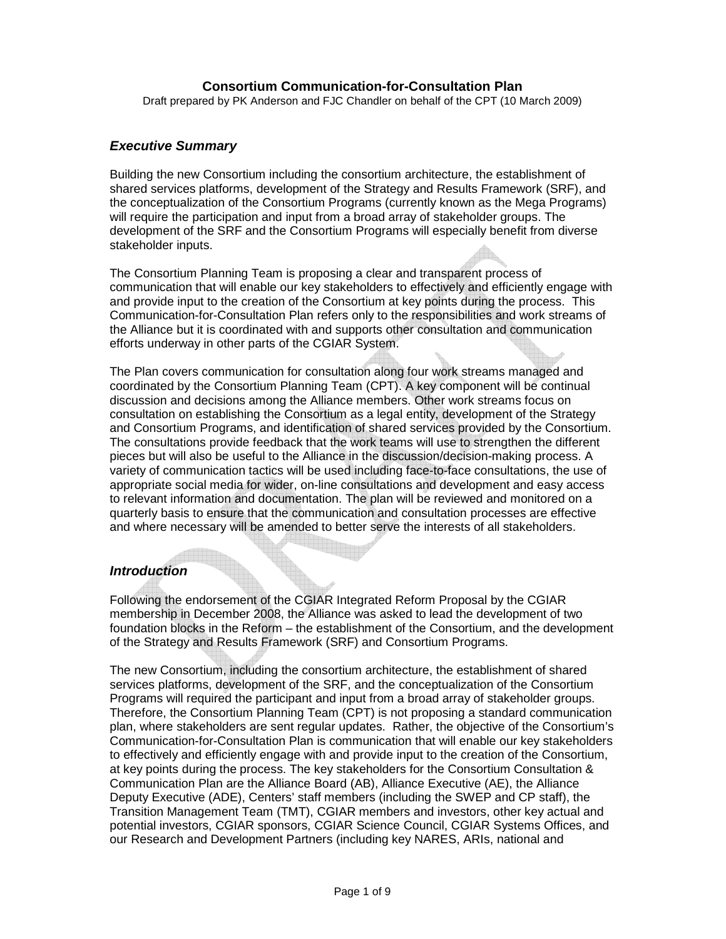Draft prepared by PK Anderson and FJC Chandler on behalf of the CPT (10 March 2009)

#### **Executive Summary**

Building the new Consortium including the consortium architecture, the establishment of shared services platforms, development of the Strategy and Results Framework (SRF), and the conceptualization of the Consortium Programs (currently known as the Mega Programs) will require the participation and input from a broad array of stakeholder groups. The development of the SRF and the Consortium Programs will especially benefit from diverse stakeholder inputs.

The Consortium Planning Team is proposing a clear and transparent process of communication that will enable our key stakeholders to effectively and efficiently engage with and provide input to the creation of the Consortium at key points during the process. This Communication-for-Consultation Plan refers only to the responsibilities and work streams of the Alliance but it is coordinated with and supports other consultation and communication efforts underway in other parts of the CGIAR System.

The Plan covers communication for consultation along four work streams managed and coordinated by the Consortium Planning Team (CPT). A key component will be continual discussion and decisions among the Alliance members. Other work streams focus on consultation on establishing the Consortium as a legal entity, development of the Strategy and Consortium Programs, and identification of shared services provided by the Consortium. The consultations provide feedback that the work teams will use to strengthen the different pieces but will also be useful to the Alliance in the discussion/decision-making process. A variety of communication tactics will be used including face-to-face consultations, the use of appropriate social media for wider, on-line consultations and development and easy access to relevant information and documentation. The plan will be reviewed and monitored on a quarterly basis to ensure that the communication and consultation processes are effective and where necessary will be amended to better serve the interests of all stakeholders.

#### **Introduction**

Following the endorsement of the CGIAR Integrated Reform Proposal by the CGIAR membership in December 2008, the Alliance was asked to lead the development of two foundation blocks in the Reform – the establishment of the Consortium, and the development of the Strategy and Results Framework (SRF) and Consortium Programs.

The new Consortium, including the consortium architecture, the establishment of shared services platforms, development of the SRF, and the conceptualization of the Consortium Programs will required the participant and input from a broad array of stakeholder groups. Therefore, the Consortium Planning Team (CPT) is not proposing a standard communication plan, where stakeholders are sent regular updates. Rather, the objective of the Consortium's Communication-for-Consultation Plan is communication that will enable our key stakeholders to effectively and efficiently engage with and provide input to the creation of the Consortium, at key points during the process. The key stakeholders for the Consortium Consultation & Communication Plan are the Alliance Board (AB), Alliance Executive (AE), the Alliance Deputy Executive (ADE), Centers' staff members (including the SWEP and CP staff), the Transition Management Team (TMT), CGIAR members and investors, other key actual and potential investors, CGIAR sponsors, CGIAR Science Council, CGIAR Systems Offices, and our Research and Development Partners (including key NARES, ARIs, national and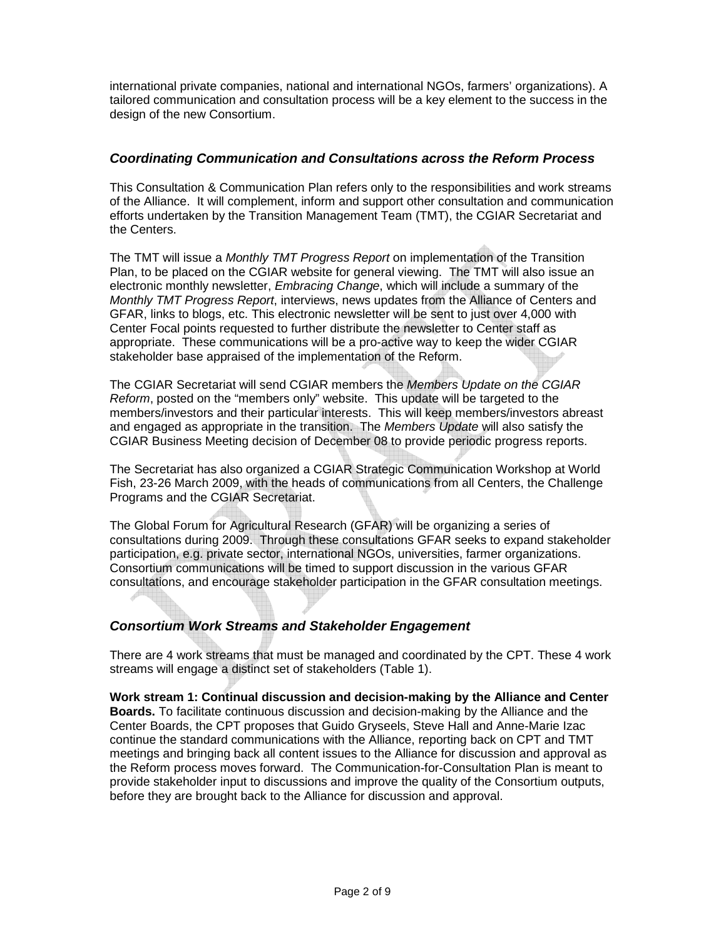international private companies, national and international NGOs, farmers' organizations). A tailored communication and consultation process will be a key element to the success in the design of the new Consortium.

#### **Coordinating Communication and Consultations across the Reform Process**

This Consultation & Communication Plan refers only to the responsibilities and work streams of the Alliance. It will complement, inform and support other consultation and communication efforts undertaken by the Transition Management Team (TMT), the CGIAR Secretariat and the Centers.

The TMT will issue a Monthly TMT Progress Report on implementation of the Transition Plan, to be placed on the CGIAR website for general viewing. The TMT will also issue an electronic monthly newsletter, Embracing Change, which will include a summary of the Monthly TMT Progress Report, interviews, news updates from the Alliance of Centers and GFAR, links to blogs, etc. This electronic newsletter will be sent to just over 4,000 with Center Focal points requested to further distribute the newsletter to Center staff as appropriate. These communications will be a pro-active way to keep the wider CGIAR stakeholder base appraised of the implementation of the Reform.

The CGIAR Secretariat will send CGIAR members the Members Update on the CGIAR Reform, posted on the "members only" website. This update will be targeted to the members/investors and their particular interests. This will keep members/investors abreast and engaged as appropriate in the transition. The Members Update will also satisfy the CGIAR Business Meeting decision of December 08 to provide periodic progress reports.

The Secretariat has also organized a CGIAR Strategic Communication Workshop at World Fish, 23-26 March 2009, with the heads of communications from all Centers, the Challenge Programs and the CGIAR Secretariat.

The Global Forum for Agricultural Research (GFAR) will be organizing a series of consultations during 2009. Through these consultations GFAR seeks to expand stakeholder participation, e.g. private sector, international NGOs, universities, farmer organizations. Consortium communications will be timed to support discussion in the various GFAR consultations, and encourage stakeholder participation in the GFAR consultation meetings.

# **Consortium Work Streams and Stakeholder Engagement**

There are 4 work streams that must be managed and coordinated by the CPT. These 4 work streams will engage a distinct set of stakeholders (Table 1).

**Work stream 1: Continual discussion and decision-making by the Alliance and Center Boards.** To facilitate continuous discussion and decision-making by the Alliance and the Center Boards, the CPT proposes that Guido Gryseels, Steve Hall and Anne-Marie Izac continue the standard communications with the Alliance, reporting back on CPT and TMT meetings and bringing back all content issues to the Alliance for discussion and approval as the Reform process moves forward. The Communication-for-Consultation Plan is meant to provide stakeholder input to discussions and improve the quality of the Consortium outputs, before they are brought back to the Alliance for discussion and approval.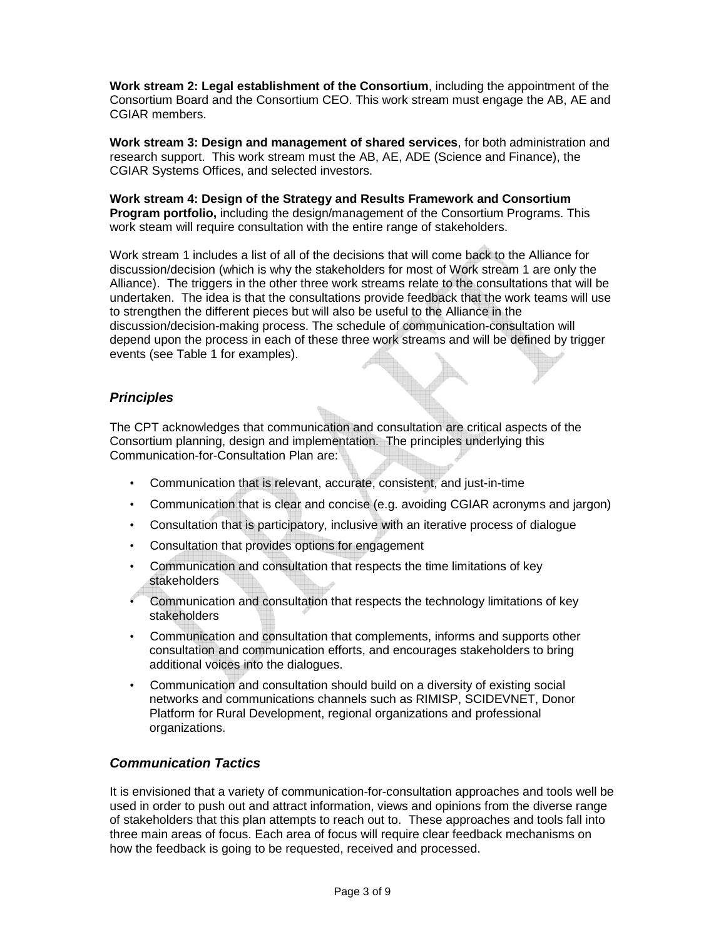**Work stream 2: Legal establishment of the Consortium**, including the appointment of the Consortium Board and the Consortium CEO. This work stream must engage the AB, AE and CGIAR members.

**Work stream 3: Design and management of shared services**, for both administration and research support. This work stream must the AB, AE, ADE (Science and Finance), the CGIAR Systems Offices, and selected investors.

**Work stream 4: Design of the Strategy and Results Framework and Consortium Program portfolio,** including the design/management of the Consortium Programs. This work steam will require consultation with the entire range of stakeholders.

Work stream 1 includes a list of all of the decisions that will come back to the Alliance for discussion/decision (which is why the stakeholders for most of Work stream 1 are only the Alliance). The triggers in the other three work streams relate to the consultations that will be undertaken. The idea is that the consultations provide feedback that the work teams will use to strengthen the different pieces but will also be useful to the Alliance in the discussion/decision-making process. The schedule of communication-consultation will depend upon the process in each of these three work streams and will be defined by trigger events (see Table 1 for examples).

## **Principles**

The CPT acknowledges that communication and consultation are critical aspects of the Consortium planning, design and implementation. The principles underlying this Communication-for-Consultation Plan are:

- Communication that is relevant, accurate, consistent, and just-in-time
- Communication that is clear and concise (e.g. avoiding CGIAR acronyms and jargon)
- Consultation that is participatory, inclusive with an iterative process of dialogue
- Consultation that provides options for engagement
- Communication and consultation that respects the time limitations of key stakeholders
- Communication and consultation that respects the technology limitations of key stakeholders
- Communication and consultation that complements, informs and supports other consultation and communication efforts, and encourages stakeholders to bring additional voices into the dialogues.
- Communication and consultation should build on a diversity of existing social networks and communications channels such as RIMISP, SCIDEVNET, Donor Platform for Rural Development, regional organizations and professional organizations.

## **Communication Tactics**

It is envisioned that a variety of communication-for-consultation approaches and tools well be used in order to push out and attract information, views and opinions from the diverse range of stakeholders that this plan attempts to reach out to. These approaches and tools fall into three main areas of focus. Each area of focus will require clear feedback mechanisms on how the feedback is going to be requested, received and processed.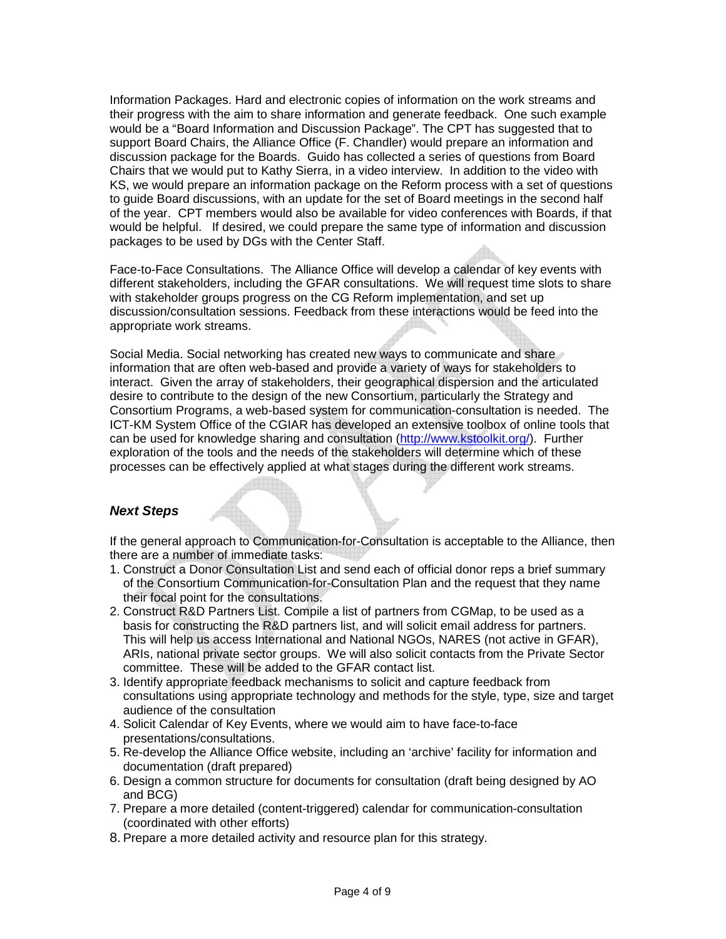Information Packages. Hard and electronic copies of information on the work streams and their progress with the aim to share information and generate feedback. One such example would be a "Board Information and Discussion Package". The CPT has suggested that to support Board Chairs, the Alliance Office (F. Chandler) would prepare an information and discussion package for the Boards. Guido has collected a series of questions from Board Chairs that we would put to Kathy Sierra, in a video interview. In addition to the video with KS, we would prepare an information package on the Reform process with a set of questions to guide Board discussions, with an update for the set of Board meetings in the second half of the year. CPT members would also be available for video conferences with Boards, if that would be helpful. If desired, we could prepare the same type of information and discussion packages to be used by DGs with the Center Staff.

Face-to-Face Consultations. The Alliance Office will develop a calendar of key events with different stakeholders, including the GFAR consultations. We will request time slots to share with stakeholder groups progress on the CG Reform implementation, and set up discussion/consultation sessions. Feedback from these interactions would be feed into the appropriate work streams.

Social Media. Social networking has created new ways to communicate and share information that are often web-based and provide a variety of ways for stakeholders to interact. Given the array of stakeholders, their geographical dispersion and the articulated desire to contribute to the design of the new Consortium, particularly the Strategy and Consortium Programs, a web-based system for communication-consultation is needed. The ICT-KM System Office of the CGIAR has developed an extensive toolbox of online tools that can be used for knowledge sharing and consultation (http://www.kstoolkit.org/). Further exploration of the tools and the needs of the stakeholders will determine which of these processes can be effectively applied at what stages during the different work streams.

## **Next Steps**

If the general approach to Communication-for-Consultation is acceptable to the Alliance, then there are a number of immediate tasks:

- 1. Construct a Donor Consultation List and send each of official donor reps a brief summary of the Consortium Communication-for-Consultation Plan and the request that they name their focal point for the consultations.
- 2. Construct R&D Partners List. Compile a list of partners from CGMap, to be used as a basis for constructing the R&D partners list, and will solicit email address for partners. This will help us access International and National NGOs, NARES (not active in GFAR), ARIs, national private sector groups. We will also solicit contacts from the Private Sector committee. These will be added to the GFAR contact list.
- 3. Identify appropriate feedback mechanisms to solicit and capture feedback from consultations using appropriate technology and methods for the style, type, size and target audience of the consultation
- 4. Solicit Calendar of Key Events, where we would aim to have face-to-face presentations/consultations.
- 5. Re-develop the Alliance Office website, including an 'archive' facility for information and documentation (draft prepared)
- 6. Design a common structure for documents for consultation (draft being designed by AO and BCG)
- 7. Prepare a more detailed (content-triggered) calendar for communication-consultation (coordinated with other efforts)
- 8. Prepare a more detailed activity and resource plan for this strategy.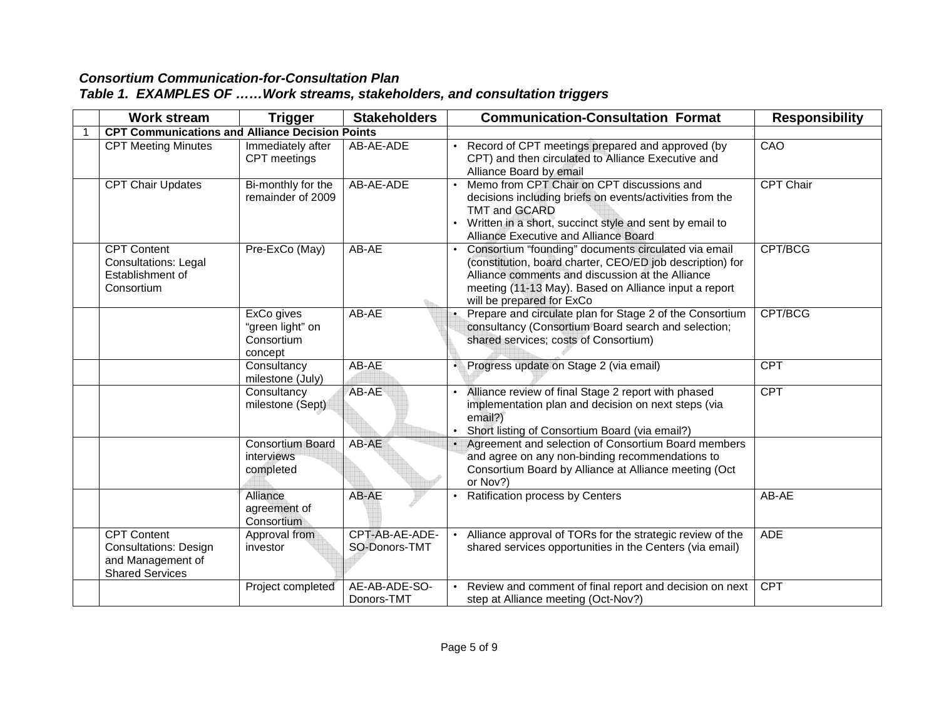|  |  | Table 1. EXAMPLES OF Work streams, stakeholders, and consultation triggers |  |  |  |
|--|--|----------------------------------------------------------------------------|--|--|--|
|--|--|----------------------------------------------------------------------------|--|--|--|

| <b>Work stream</b>                                                                                | <b>Trigger</b>                                          | <b>Stakeholders</b>             | <b>Communication-Consultation Format</b><br><b>Responsibility</b>                                                                                                                                                                                                      |
|---------------------------------------------------------------------------------------------------|---------------------------------------------------------|---------------------------------|------------------------------------------------------------------------------------------------------------------------------------------------------------------------------------------------------------------------------------------------------------------------|
| <b>CPT Communications and Alliance Decision Points</b>                                            |                                                         |                                 |                                                                                                                                                                                                                                                                        |
| <b>CPT Meeting Minutes</b>                                                                        | Immediately after<br>CPT meetings                       | AB-AE-ADE                       | Record of CPT meetings prepared and approved (by<br>CAO<br>CPT) and then circulated to Alliance Executive and<br>Alliance Board by email                                                                                                                               |
| <b>CPT Chair Updates</b>                                                                          | Bi-monthly for the<br>remainder of 2009                 | AB-AE-ADE                       | Memo from CPT Chair on CPT discussions and<br><b>CPT Chair</b><br>decisions including briefs on events/activities from the<br>TMT and GCARD<br>Written in a short, succinct style and sent by email to<br>Alliance Executive and Alliance Board                        |
| <b>CPT Content</b><br><b>Consultations: Legal</b><br>Establishment of<br>Consortium               | Pre-ExCo (May)                                          | AB-AE                           | CPT/BCG<br>Consortium "founding" documents circulated via email<br>(constitution, board charter, CEO/ED job description) for<br>Alliance comments and discussion at the Alliance<br>meeting (11-13 May). Based on Alliance input a report<br>will be prepared for ExCo |
|                                                                                                   | ExCo gives<br>"green light" on<br>Consortium<br>concept | AB-AE                           | Prepare and circulate plan for Stage 2 of the Consortium<br>CPT/BCG<br>consultancy (Consortium Board search and selection;<br>shared services; costs of Consortium)                                                                                                    |
|                                                                                                   | Consultancy<br>milestone (July)                         | AB-AE                           | Progress update on Stage 2 (via email)<br><b>CPT</b>                                                                                                                                                                                                                   |
|                                                                                                   | Consultancy<br>milestone (Sept)                         | AB-AE                           | Alliance review of final Stage 2 report with phased<br><b>CPT</b><br>implementation plan and decision on next steps (via<br>email?)<br>Short listing of Consortium Board (via email?)                                                                                  |
|                                                                                                   | <b>Consortium Board</b><br>interviews<br>completed      | AB-AE                           | Agreement and selection of Consortium Board members<br>and agree on any non-binding recommendations to<br>Consortium Board by Alliance at Alliance meeting (Oct<br>or Nov?)                                                                                            |
|                                                                                                   | Alliance<br>agreement of<br>Consortium                  | AB-AE                           | Ratification process by Centers<br>AB-AE                                                                                                                                                                                                                               |
| <b>CPT Content</b><br><b>Consultations: Design</b><br>and Management of<br><b>Shared Services</b> | Approval from<br>investor                               | CPT-AB-AE-ADE-<br>SO-Donors-TMT | Alliance approval of TORs for the strategic review of the<br>ADE<br>$\bullet$<br>shared services opportunities in the Centers (via email)                                                                                                                              |
|                                                                                                   | Project completed                                       | AE-AB-ADE-SO-<br>Donors-TMT     | Review and comment of final report and decision on next<br><b>CPT</b><br>step at Alliance meeting (Oct-Nov?)                                                                                                                                                           |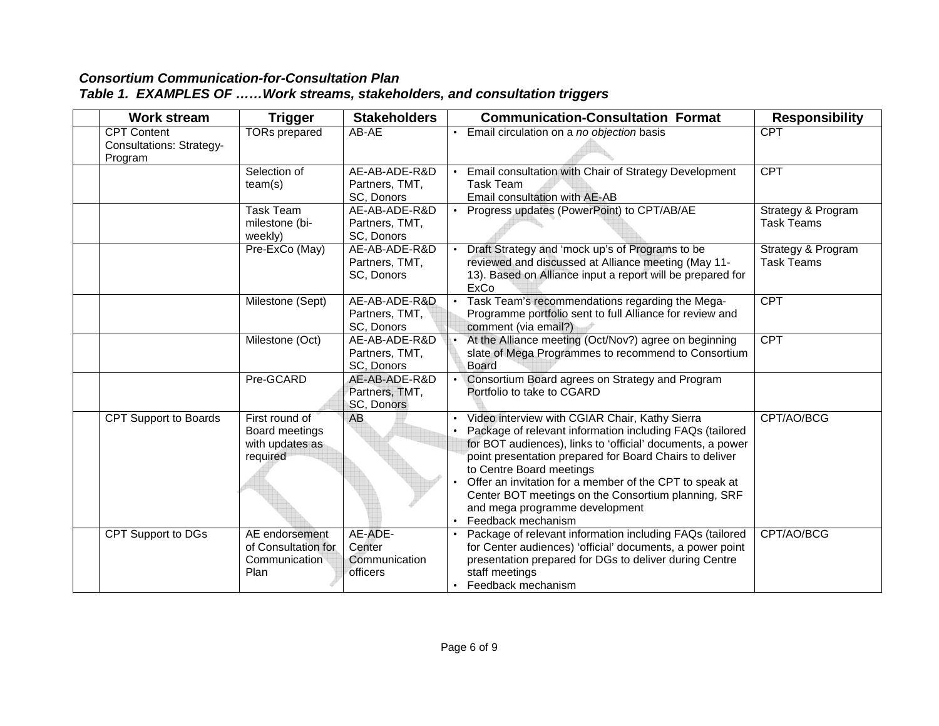# **Consortium Communication-for-Consultation Plan Table 1. EXAMPLES OF ……Work streams, stakeholders, and consultation triggers**

| <b>Work stream</b>                                               | <b>Trigger</b>                                                                                                                                                                                                                                  | <b>Stakeholders</b>                            | <b>Communication-Consultation Format</b> |                                                                                                                                                                                                                                                                                                                                                                                                                                           | <b>Responsibility</b>                   |
|------------------------------------------------------------------|-------------------------------------------------------------------------------------------------------------------------------------------------------------------------------------------------------------------------------------------------|------------------------------------------------|------------------------------------------|-------------------------------------------------------------------------------------------------------------------------------------------------------------------------------------------------------------------------------------------------------------------------------------------------------------------------------------------------------------------------------------------------------------------------------------------|-----------------------------------------|
| <b>CPT Content</b><br><b>Consultations: Strategy-</b><br>Program | <b>TORs prepared</b>                                                                                                                                                                                                                            | AB-AE                                          | $\bullet$                                | Email circulation on a no objection basis                                                                                                                                                                                                                                                                                                                                                                                                 | <b>CPT</b>                              |
|                                                                  | Selection of<br>team(s)                                                                                                                                                                                                                         | AE-AB-ADE-R&D<br>Partners, TMT,<br>SC, Donors  |                                          | Email consultation with Chair of Strategy Development<br><b>Task Team</b><br>Email consultation with AE-AB                                                                                                                                                                                                                                                                                                                                | <b>CPT</b>                              |
|                                                                  | <b>Task Team</b><br>milestone (bi-<br>weekly)                                                                                                                                                                                                   | AE-AB-ADE-R&D<br>Partners, TMT,<br>SC, Donors  | $\bullet$                                | Progress updates (PowerPoint) to CPT/AB/AE                                                                                                                                                                                                                                                                                                                                                                                                | Strategy & Program<br><b>Task Teams</b> |
|                                                                  | Pre-ExCo (May)<br>Draft Strategy and 'mock up's of Programs to be<br>AE-AB-ADE-R&D<br>reviewed and discussed at Alliance meeting (May 11-<br>Partners, TMT,<br>13). Based on Alliance input a report will be prepared for<br>SC, Donors<br>ExCo |                                                | Strategy & Program<br><b>Task Teams</b>  |                                                                                                                                                                                                                                                                                                                                                                                                                                           |                                         |
|                                                                  | Milestone (Sept)                                                                                                                                                                                                                                | AE-AB-ADE-R&D<br>Partners, TMT,<br>SC, Donors  | $\bullet$                                | Task Team's recommendations regarding the Mega-<br>Programme portfolio sent to full Alliance for review and<br>comment (via email?)                                                                                                                                                                                                                                                                                                       | CPT                                     |
|                                                                  | Milestone (Oct)                                                                                                                                                                                                                                 | AE-AB-ADE-R&D<br>Partners, TMT,<br>SC, Donors  |                                          | At the Alliance meeting (Oct/Nov?) agree on beginning<br>slate of Mega Programmes to recommend to Consortium<br>Board                                                                                                                                                                                                                                                                                                                     | <b>CPT</b>                              |
|                                                                  | Pre-GCARD                                                                                                                                                                                                                                       | AE-AB-ADE-R&D<br>Partners, TMT,<br>SC, Donors  |                                          | • Consortium Board agrees on Strategy and Program<br>Portfolio to take to CGARD                                                                                                                                                                                                                                                                                                                                                           |                                         |
| <b>CPT Support to Boards</b>                                     | First round of<br>Board meetings<br>with updates as<br>required                                                                                                                                                                                 | <b>AB</b>                                      |                                          | Video interview with CGIAR Chair, Kathy Sierra<br>Package of relevant information including FAQs (tailored<br>for BOT audiences), links to 'official' documents, a power<br>point presentation prepared for Board Chairs to deliver<br>to Centre Board meetings<br>Offer an invitation for a member of the CPT to speak at<br>Center BOT meetings on the Consortium planning, SRF<br>and mega programme development<br>Feedback mechanism | CPT/AO/BCG                              |
| <b>CPT Support to DGs</b>                                        | AE endorsement<br>of Consultation for<br>Communication<br>Plan                                                                                                                                                                                  | AE-ADE-<br>Center<br>Communication<br>officers |                                          | Package of relevant information including FAQs (tailored<br>for Center audiences) 'official' documents, a power point<br>presentation prepared for DGs to deliver during Centre<br>staff meetings<br>Feedback mechanism                                                                                                                                                                                                                   | CPT/AO/BCG                              |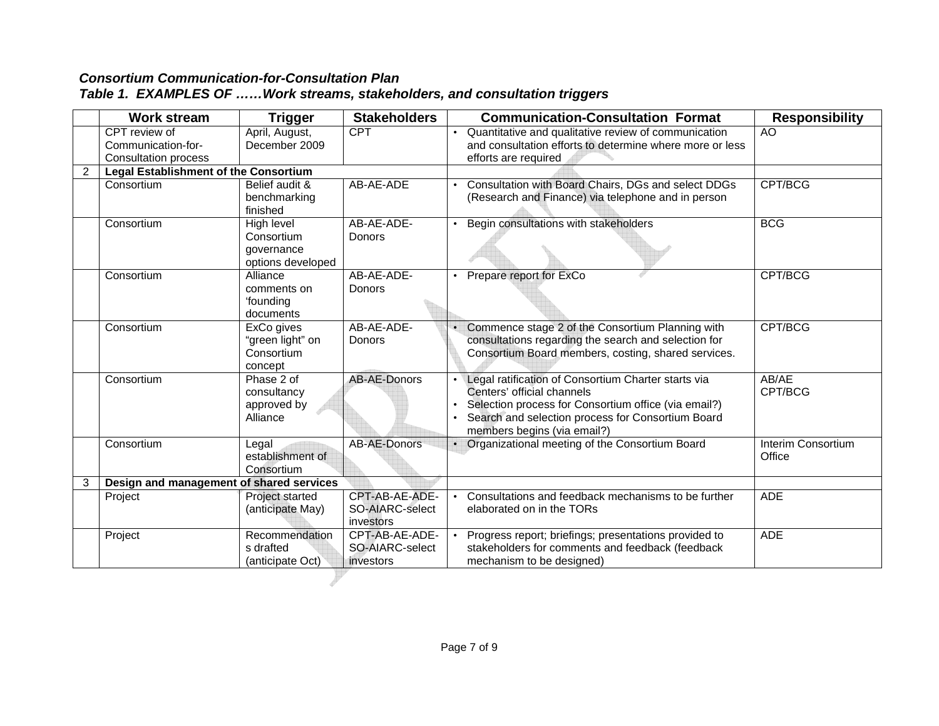|  |  |  |  | Table 1. EXAMPLES OF  Work streams, stakeholders, and consultation triggers |
|--|--|--|--|-----------------------------------------------------------------------------|
|--|--|--|--|-----------------------------------------------------------------------------|

|                | <b>Work stream</b>                       | <b>Trigger</b>                                              | <b>Stakeholders</b>                            | <b>Communication-Consultation Format</b> |                                                                                                                                                                                                                               | <b>Responsibility</b>        |
|----------------|------------------------------------------|-------------------------------------------------------------|------------------------------------------------|------------------------------------------|-------------------------------------------------------------------------------------------------------------------------------------------------------------------------------------------------------------------------------|------------------------------|
|                | CPT review of                            | April, August,                                              | <b>CPT</b>                                     |                                          | Quantitative and qualitative review of communication                                                                                                                                                                          | AO                           |
|                | Communication-for-                       | December 2009                                               |                                                |                                          | and consultation efforts to determine where more or less                                                                                                                                                                      |                              |
|                | <b>Consultation process</b>              |                                                             |                                                |                                          | efforts are required                                                                                                                                                                                                          |                              |
| $\overline{2}$ | Legal Establishment of the Consortium    |                                                             |                                                |                                          |                                                                                                                                                                                                                               |                              |
|                | Consortium                               | Belief audit &<br>benchmarking<br>finished                  | AB-AE-ADE                                      |                                          | Consultation with Board Chairs, DGs and select DDGs<br>(Research and Finance) via telephone and in person                                                                                                                     | CPT/BCG                      |
|                | Consortium                               | High level<br>Consortium<br>governance<br>options developed | AB-AE-ADE-<br>Donors                           |                                          | Begin consultations with stakeholders                                                                                                                                                                                         | <b>BCG</b>                   |
|                | Consortium                               | Alliance<br>comments on<br>'founding<br>documents           | AB-AE-ADE-<br><b>Donors</b>                    |                                          | Prepare report for ExCo                                                                                                                                                                                                       | CPT/BCG                      |
|                | Consortium                               | ExCo gives<br>"green light" on<br>Consortium<br>concept     | AB-AE-ADE-<br>Donors                           | $\bullet$                                | Commence stage 2 of the Consortium Planning with<br>consultations regarding the search and selection for<br>Consortium Board members, costing, shared services.                                                               | CPT/BCG                      |
|                | Consortium                               | Phase 2 of<br>consultancy<br>approved by<br>Alliance        | <b>AB-AE-Donors</b>                            |                                          | Legal ratification of Consortium Charter starts via<br>Centers' official channels<br>Selection process for Consortium office (via email?)<br>Search and selection process for Consortium Board<br>members begins (via email?) | AB/AE<br>CPT/BCG             |
|                | Consortium                               | Legal<br>establishment of<br>Consortium                     | <b>AB-AE-Donors</b>                            |                                          | Organizational meeting of the Consortium Board                                                                                                                                                                                | Interim Consortium<br>Office |
| 3              | Design and management of shared services |                                                             |                                                |                                          |                                                                                                                                                                                                                               |                              |
|                | Project                                  | Project started<br>(anticipate May)                         | CPT-AB-AE-ADE-<br>SO-AIARC-select<br>investors |                                          | Consultations and feedback mechanisms to be further<br>elaborated on in the TORs                                                                                                                                              | <b>ADE</b>                   |
|                | Project                                  | Recommendation<br>s drafted<br>(anticipate Oct)             | CPT-AB-AE-ADE-<br>SO-AIARC-select<br>investors |                                          | Progress report; briefings; presentations provided to<br>stakeholders for comments and feedback (feedback<br>mechanism to be designed)                                                                                        | <b>ADE</b>                   |
|                |                                          |                                                             |                                                |                                          |                                                                                                                                                                                                                               |                              |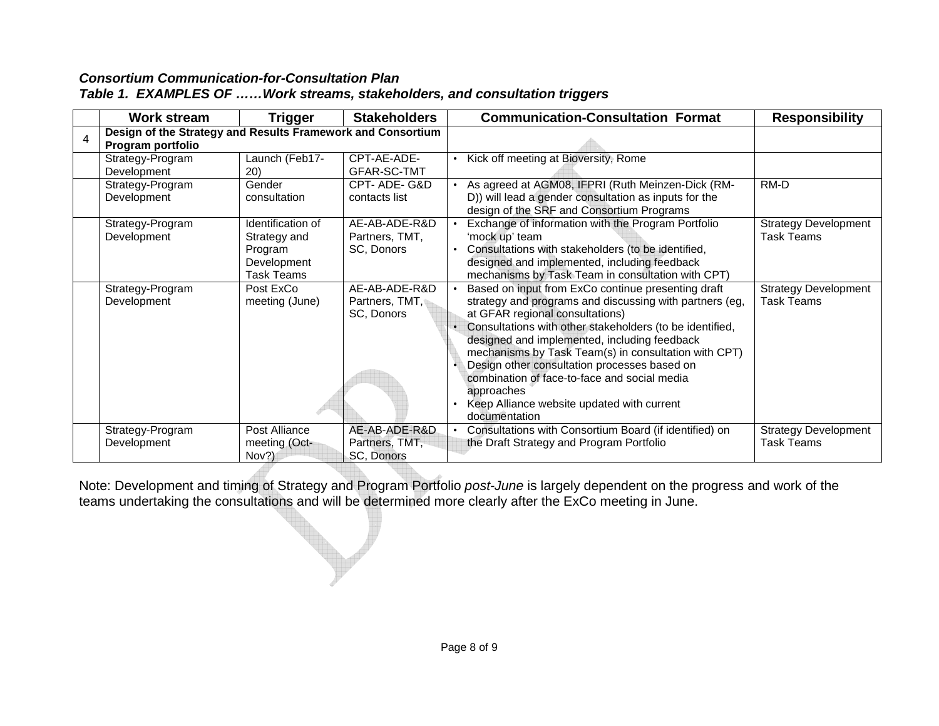|  |  | Table 1. EXAMPLES OF  Work streams, stakeholders, and consultation triggers |  |  |  |
|--|--|-----------------------------------------------------------------------------|--|--|--|
|--|--|-----------------------------------------------------------------------------|--|--|--|

| Work stream                                                                      | Trigger                                                                   | <b>Stakeholders</b>                           | <b>Communication-Consultation Format</b>                                                                                                                                                                                                                                                                                                                                                                                                                                                          | <b>Responsibility</b>                            |
|----------------------------------------------------------------------------------|---------------------------------------------------------------------------|-----------------------------------------------|---------------------------------------------------------------------------------------------------------------------------------------------------------------------------------------------------------------------------------------------------------------------------------------------------------------------------------------------------------------------------------------------------------------------------------------------------------------------------------------------------|--------------------------------------------------|
| Design of the Strategy and Results Framework and Consortium<br>Program portfolio |                                                                           |                                               |                                                                                                                                                                                                                                                                                                                                                                                                                                                                                                   |                                                  |
| Strategy-Program<br>Development                                                  | Launch (Feb17-<br><b>20)</b>                                              | CPT-AE-ADE-<br>GFAR-SC-TMT                    | Kick off meeting at Bioversity, Rome<br>$\bullet$                                                                                                                                                                                                                                                                                                                                                                                                                                                 |                                                  |
| Strategy-Program<br>Development                                                  | Gender<br>consultation                                                    | CPT-ADE-G&D<br>contacts list                  | As agreed at AGM08, IFPRI (Ruth Meinzen-Dick (RM-<br>D)) will lead a gender consultation as inputs for the<br>design of the SRF and Consortium Programs                                                                                                                                                                                                                                                                                                                                           | RM-D                                             |
| Strategy-Program<br>Development                                                  | Identification of<br>Strategy and<br>Program<br>Development<br>Task Teams | AE-AB-ADE-R&D<br>Partners, TMT,<br>SC, Donors | Exchange of information with the Program Portfolio<br>'mock up' team<br>Consultations with stakeholders (to be identified,<br>designed and implemented, including feedback<br>mechanisms by Task Team in consultation with CPT)                                                                                                                                                                                                                                                                   | <b>Strategy Development</b><br><b>Task Teams</b> |
| Strategy-Program<br>Development                                                  | Post ExCo<br>meeting (June)                                               | AE-AB-ADE-R&D<br>Partners, TMT,<br>SC, Donors | Based on input from ExCo continue presenting draft<br>strategy and programs and discussing with partners (eg,<br>at GFAR regional consultations)<br>Consultations with other stakeholders (to be identified,<br>designed and implemented, including feedback<br>mechanisms by Task Team(s) in consultation with CPT)<br>Design other consultation processes based on<br>combination of face-to-face and social media<br>approaches<br>Keep Alliance website updated with current<br>documentation | <b>Strategy Development</b><br>Task Teams        |
| Strategy-Program<br>Development                                                  | Post Alliance<br>meeting (Oct-<br>Nov?)                                   | AE-AB-ADE-R&D<br>Partners, TMT,<br>SC, Donors | Consultations with Consortium Board (if identified) on<br>the Draft Strategy and Program Portfolio                                                                                                                                                                                                                                                                                                                                                                                                | <b>Strategy Development</b><br><b>Task Teams</b> |

Note: Development and timing of Strategy and Program Portfolio *post-June* is largely dependent on the progress and work of the<br>teams undertaking the consultations and will be determined more clearly after the ExCo meeting